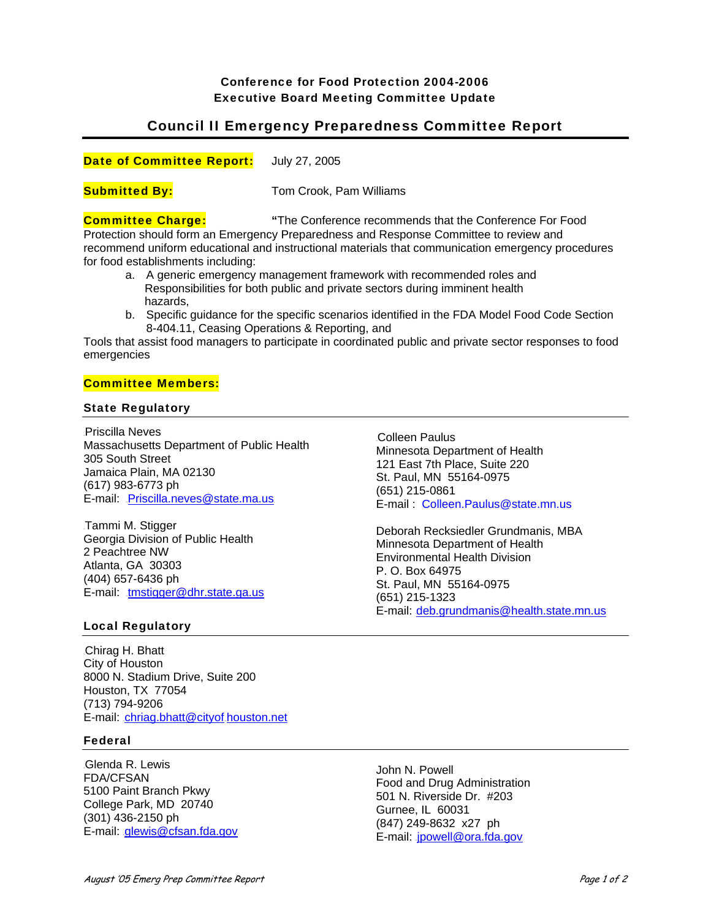# Conference for Food Protection 2004-2006 Executive Board Meeting Committee Update

# Council II Emergency Preparedness Committee Report

Date of Committee Report: July 27, 2005

**Submitted By:** Tom Crook, Pam Williams

#### **Committee Charge: "**The Conference recommends that the Conference For Food

Protection should form an Emergency Preparedness and Response Committee to review and recommend uniform educational and instructional materials that communication emergency procedures for food establishments including:

- a. A generic emergency management framework with recommended roles and Responsibilities for both public and private sectors during imminent health hazards,
- b. Specific guidance for the specific scenarios identified in the FDA Model Food Code Section 8-404.11, Ceasing Operations & Reporting, and

Tools that assist food managers to participate in coordinated public and private sector responses to food emergencies

### Committee Members:

## State Regulatory

Priscilla Neves Massachusetts Department of Public Health 305 South Street Jamaica Plain, MA 02130 (617) 983-6773 ph E-mail: Priscilla.neves@state.ma.us

Tammi M. Stigger Georgia Division of Public Health 2 Peachtree NW Atlanta, GA 30303 (404) 657-6436 ph E-mail: tmstigger@dhr.state.ga.us

Colleen Paulus Minnesota Department of Health 121 East 7th Place, Suite 220 St. Paul, MN 55164-0975 (651) 215-0861 E-mail : Colleen.Paulus@state.mn.us

Deborah Recksiedler Grundmanis, MBA Minnesota Department of Health Environmental Health Division P. O. Box 64975 St. Paul, MN 55164-0975 (651) 215-1323 E-mail: deb.grundmanis@health.state.mn.us

# Local Regulatory

Chirag H. Bhatt City of Houston 8000 N. Stadium Drive, Suite 200 Houston, TX 77054 (713) 794-9206 E-mail: chriag.bhatt@cityof\_houston.net

### Federal

Glenda R. Lewis FDA/CFSAN 5100 Paint Branch Pkwy College Park, MD 20740 (301) 436-2150 ph E-mail: glewis@cfsan.fda.gov

John N. Powell Food and Drug Administration 501 N. Riverside Dr. #203 Gurnee, IL 60031 (847) 249-8632 x27 ph E-mail: jpowell@ora.fda.gov.